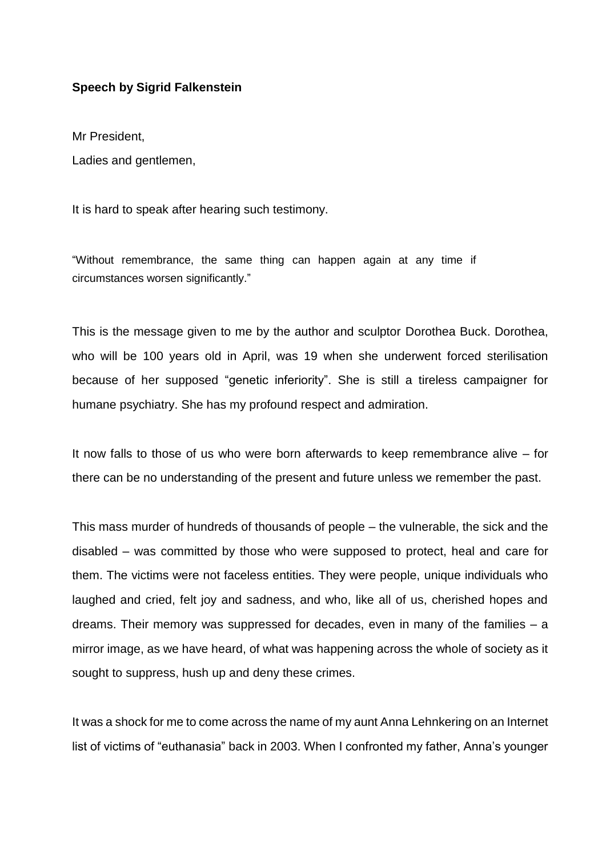## **Speech by Sigrid Falkenstein**

Mr President, Ladies and gentlemen,

It is hard to speak after hearing such testimony.

"Without remembrance, the same thing can happen again at any time if circumstances worsen significantly."

This is the message given to me by the author and sculptor Dorothea Buck. Dorothea, who will be 100 years old in April, was 19 when she underwent forced sterilisation because of her supposed "genetic inferiority". She is still a tireless campaigner for humane psychiatry. She has my profound respect and admiration.

It now falls to those of us who were born afterwards to keep remembrance alive – for there can be no understanding of the present and future unless we remember the past.

This mass murder of hundreds of thousands of people – the vulnerable, the sick and the disabled – was committed by those who were supposed to protect, heal and care for them. The victims were not faceless entities. They were people, unique individuals who laughed and cried, felt joy and sadness, and who, like all of us, cherished hopes and dreams. Their memory was suppressed for decades, even in many of the families – a mirror image, as we have heard, of what was happening across the whole of society as it sought to suppress, hush up and deny these crimes.

It was a shock for me to come across the name of my aunt Anna Lehnkering on an Internet list of victims of "euthanasia" back in 2003. When I confronted my father, Anna's younger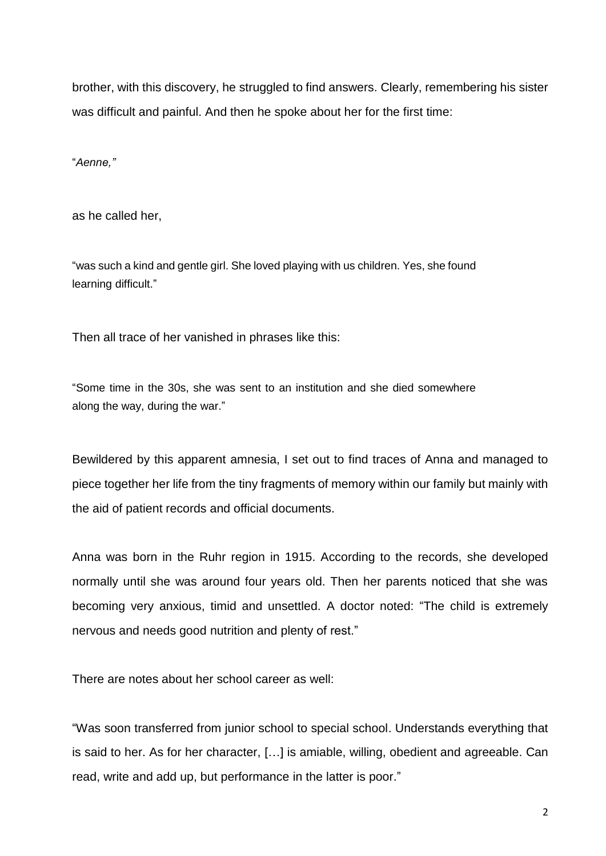brother, with this discovery, he struggled to find answers. Clearly, remembering his sister was difficult and painful. And then he spoke about her for the first time:

"*Aenne,"* 

as he called her,

"was such a kind and gentle girl. She loved playing with us children. Yes, she found learning difficult."

Then all trace of her vanished in phrases like this:

"Some time in the 30s, she was sent to an institution and she died somewhere along the way, during the war."

Bewildered by this apparent amnesia, I set out to find traces of Anna and managed to piece together her life from the tiny fragments of memory within our family but mainly with the aid of patient records and official documents.

Anna was born in the Ruhr region in 1915. According to the records, she developed normally until she was around four years old. Then her parents noticed that she was becoming very anxious, timid and unsettled. A doctor noted: "The child is extremely nervous and needs good nutrition and plenty of rest."

There are notes about her school career as well:

"Was soon transferred from junior school to special school. Understands everything that is said to her. As for her character, […] is amiable, willing, obedient and agreeable. Can read, write and add up, but performance in the latter is poor."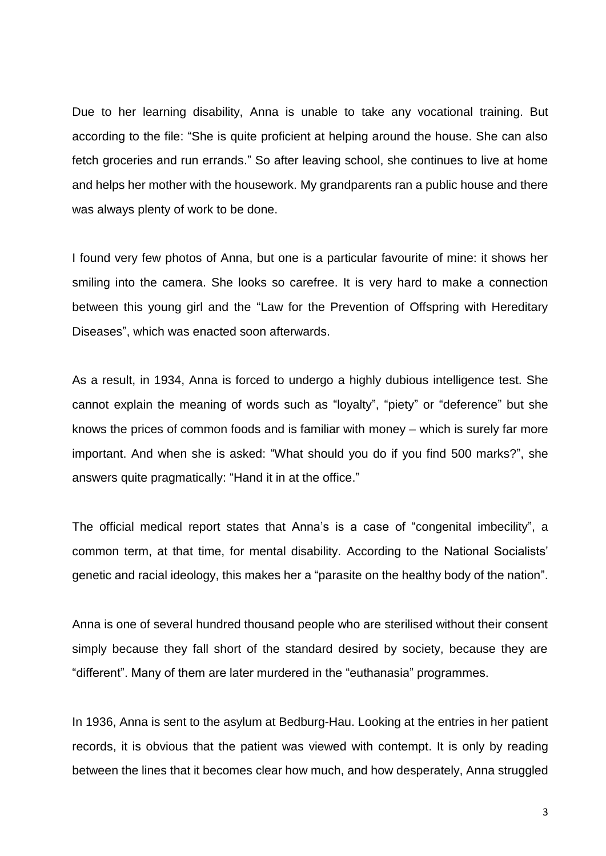Due to her learning disability, Anna is unable to take any vocational training. But according to the file: "She is quite proficient at helping around the house. She can also fetch groceries and run errands." So after leaving school, she continues to live at home and helps her mother with the housework. My grandparents ran a public house and there was always plenty of work to be done.

I found very few photos of Anna, but one is a particular favourite of mine: it shows her smiling into the camera. She looks so carefree. It is very hard to make a connection between this young girl and the "Law for the Prevention of Offspring with Hereditary Diseases", which was enacted soon afterwards.

As a result, in 1934, Anna is forced to undergo a highly dubious intelligence test. She cannot explain the meaning of words such as "loyalty", "piety" or "deference" but she knows the prices of common foods and is familiar with money – which is surely far more important. And when she is asked: "What should you do if you find 500 marks?", she answers quite pragmatically: "Hand it in at the office."

The official medical report states that Anna's is a case of "congenital imbecility", a common term, at that time, for mental disability. According to the National Socialists' genetic and racial ideology, this makes her a "parasite on the healthy body of the nation".

Anna is one of several hundred thousand people who are sterilised without their consent simply because they fall short of the standard desired by society, because they are "different". Many of them are later murdered in the "euthanasia" programmes.

In 1936, Anna is sent to the asylum at Bedburg-Hau. Looking at the entries in her patient records, it is obvious that the patient was viewed with contempt. It is only by reading between the lines that it becomes clear how much, and how desperately, Anna struggled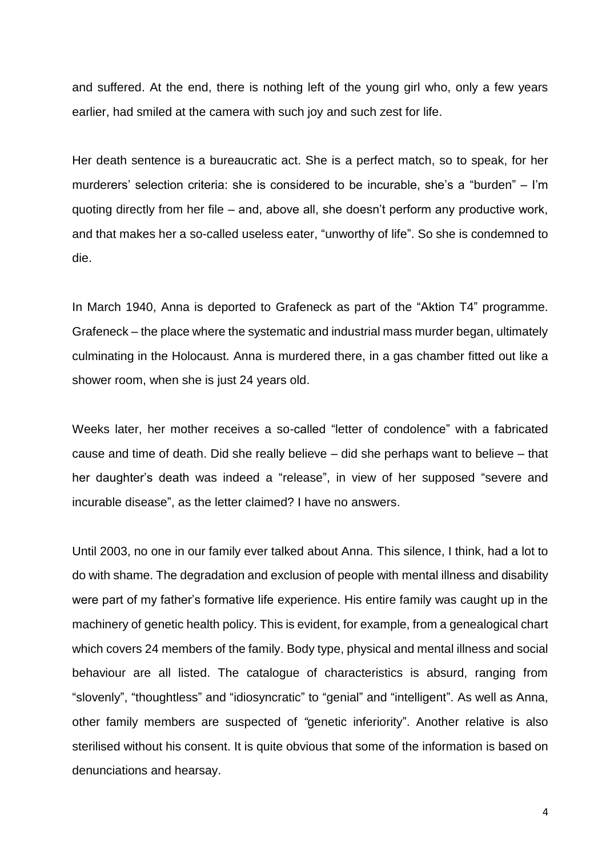and suffered. At the end, there is nothing left of the young girl who, only a few years earlier, had smiled at the camera with such joy and such zest for life.

Her death sentence is a bureaucratic act. She is a perfect match, so to speak, for her murderers' selection criteria: she is considered to be incurable, she's a "burden" – I'm quoting directly from her file – and, above all, she doesn't perform any productive work, and that makes her a so-called useless eater, "unworthy of life". So she is condemned to die.

In March 1940, Anna is deported to Grafeneck as part of the "Aktion T4" programme. Grafeneck – the place where the systematic and industrial mass murder began, ultimately culminating in the Holocaust. Anna is murdered there, in a gas chamber fitted out like a shower room, when she is just 24 years old.

Weeks later, her mother receives a so-called "letter of condolence" with a fabricated cause and time of death. Did she really believe – did she perhaps want to believe – that her daughter's death was indeed a "release", in view of her supposed "severe and incurable disease", as the letter claimed? I have no answers.

Until 2003, no one in our family ever talked about Anna. This silence, I think, had a lot to do with shame. The degradation and exclusion of people with mental illness and disability were part of my father's formative life experience. His entire family was caught up in the machinery of genetic health policy. This is evident, for example, from a genealogical chart which covers 24 members of the family. Body type, physical and mental illness and social behaviour are all listed. The catalogue of characteristics is absurd, ranging from "slovenly", "thoughtless" and "idiosyncratic" to "genial" and "intelligent". As well as Anna, other family members are suspected of *"*genetic inferiority". Another relative is also sterilised without his consent. It is quite obvious that some of the information is based on denunciations and hearsay.

4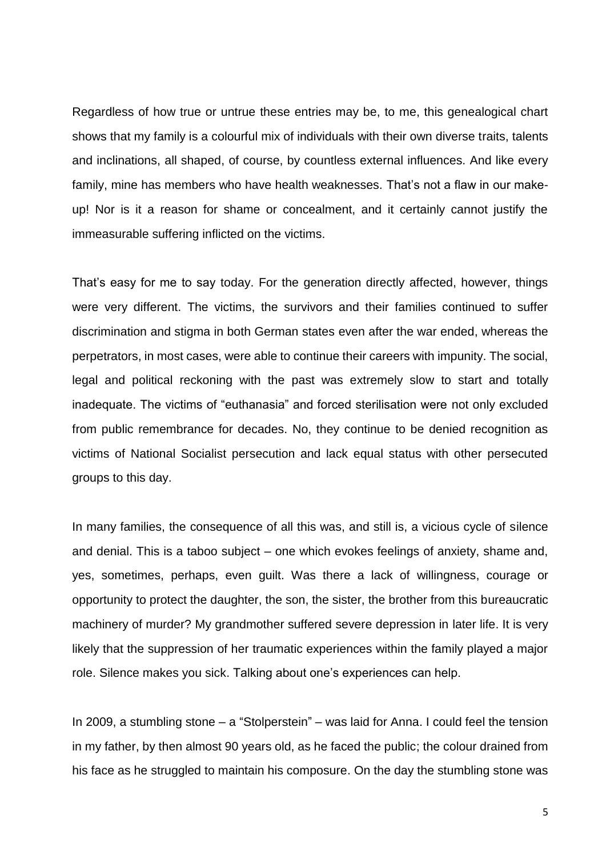Regardless of how true or untrue these entries may be, to me, this genealogical chart shows that my family is a colourful mix of individuals with their own diverse traits, talents and inclinations, all shaped, of course, by countless external influences. And like every family, mine has members who have health weaknesses. That's not a flaw in our makeup! Nor is it a reason for shame or concealment, and it certainly cannot justify the immeasurable suffering inflicted on the victims.

That's easy for me to say today. For the generation directly affected, however, things were very different. The victims, the survivors and their families continued to suffer discrimination and stigma in both German states even after the war ended, whereas the perpetrators, in most cases, were able to continue their careers with impunity. The social, legal and political reckoning with the past was extremely slow to start and totally inadequate. The victims of "euthanasia" and forced sterilisation were not only excluded from public remembrance for decades. No, they continue to be denied recognition as victims of National Socialist persecution and lack equal status with other persecuted groups to this day.

In many families, the consequence of all this was, and still is, a vicious cycle of silence and denial. This is a taboo subject – one which evokes feelings of anxiety, shame and, yes, sometimes, perhaps, even guilt. Was there a lack of willingness, courage or opportunity to protect the daughter, the son, the sister, the brother from this bureaucratic machinery of murder? My grandmother suffered severe depression in later life. It is very likely that the suppression of her traumatic experiences within the family played a major role. Silence makes you sick. Talking about one's experiences can help.

In 2009, a stumbling stone – a "Stolperstein" – was laid for Anna. I could feel the tension in my father, by then almost 90 years old, as he faced the public; the colour drained from his face as he struggled to maintain his composure. On the day the stumbling stone was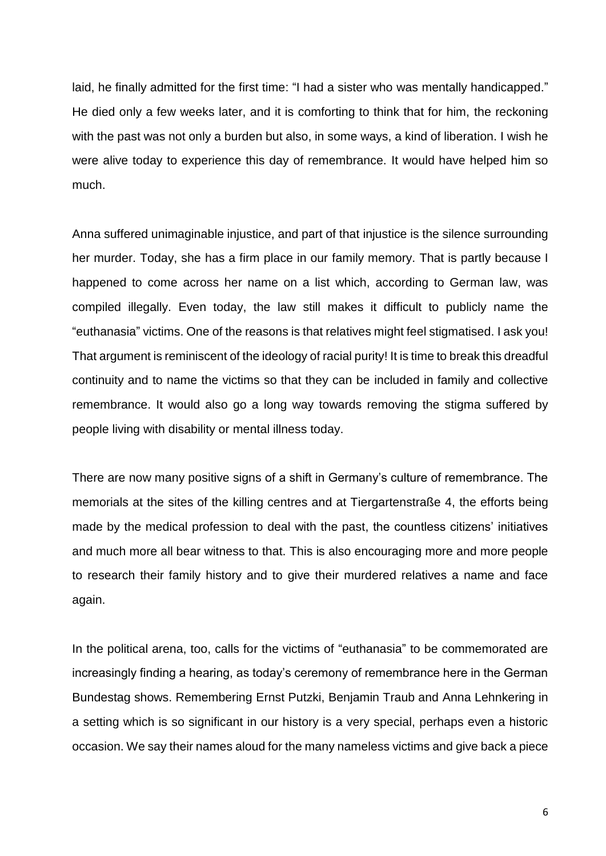laid, he finally admitted for the first time: "I had a sister who was mentally handicapped." He died only a few weeks later, and it is comforting to think that for him, the reckoning with the past was not only a burden but also, in some ways, a kind of liberation. I wish he were alive today to experience this day of remembrance. It would have helped him so much.

Anna suffered unimaginable injustice, and part of that injustice is the silence surrounding her murder. Today, she has a firm place in our family memory. That is partly because I happened to come across her name on a list which, according to German law, was compiled illegally. Even today, the law still makes it difficult to publicly name the "euthanasia" victims. One of the reasons is that relatives might feel stigmatised. I ask you! That argument is reminiscent of the ideology of racial purity! It is time to break this dreadful continuity and to name the victims so that they can be included in family and collective remembrance. It would also go a long way towards removing the stigma suffered by people living with disability or mental illness today.

There are now many positive signs of a shift in Germany's culture of remembrance. The memorials at the sites of the killing centres and at Tiergartenstraße 4, the efforts being made by the medical profession to deal with the past, the countless citizens' initiatives and much more all bear witness to that. This is also encouraging more and more people to research their family history and to give their murdered relatives a name and face again.

In the political arena, too, calls for the victims of "euthanasia" to be commemorated are increasingly finding a hearing, as today's ceremony of remembrance here in the German Bundestag shows. Remembering Ernst Putzki, Benjamin Traub and Anna Lehnkering in a setting which is so significant in our history is a very special, perhaps even a historic occasion. We say their names aloud for the many nameless victims and give back a piece

6